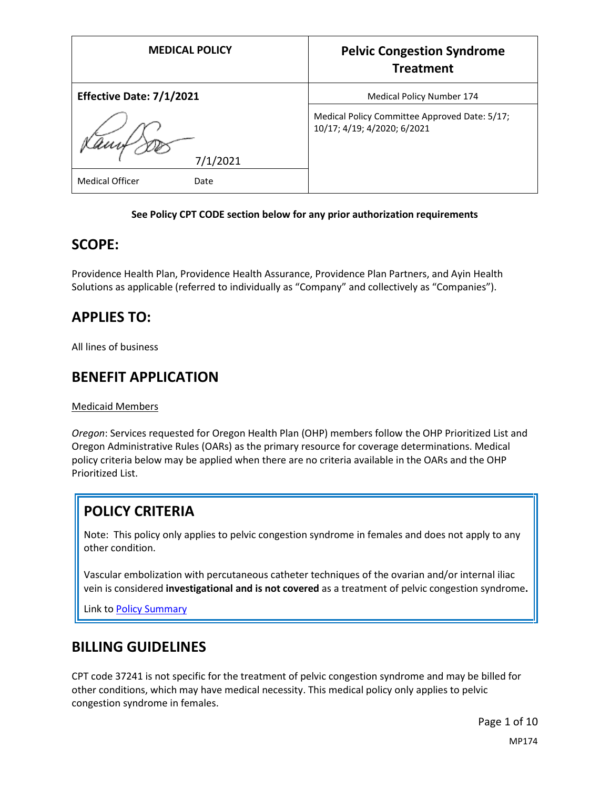| <b>MEDICAL POLICY</b>          | <b>Pelvic Congestion Syndrome</b><br><b>Treatment</b>                        |
|--------------------------------|------------------------------------------------------------------------------|
| Effective Date: 7/1/2021       | Medical Policy Number 174                                                    |
| 7/1/2021                       | Medical Policy Committee Approved Date: 5/17;<br>10/17; 4/19; 4/2020; 6/2021 |
| <b>Medical Officer</b><br>Date |                                                                              |

### **See Policy CPT CODE section below for any prior authorization requirements**

### **SCOPE:**

Providence Health Plan, Providence Health Assurance, Providence Plan Partners, and Ayin Health Solutions as applicable (referred to individually as "Company" and collectively as "Companies").

## **APPLIES TO:**

All lines of business

### **BENEFIT APPLICATION**

Medicaid Members

*Oregon*: Services requested for Oregon Health Plan (OHP) members follow the OHP Prioritized List and Oregon Administrative Rules (OARs) as the primary resource for coverage determinations. Medical policy criteria below may be applied when there are no criteria available in the OARs and the OHP Prioritized List.

## **POLICY CRITERIA**

Note: This policy only applies to pelvic congestion syndrome in females and does not apply to any other condition.

Vascular embolization with percutaneous catheter techniques of the ovarian and/or internal iliac vein is considered **investigational and is not covered** as a treatment of pelvic congestion syndrome**.**

Link t[o Policy Summary](#page-6-0)

## **BILLING GUIDELINES**

CPT code 37241 is not specific for the treatment of pelvic congestion syndrome and may be billed for other conditions, which may have medical necessity. This medical policy only applies to pelvic congestion syndrome in females.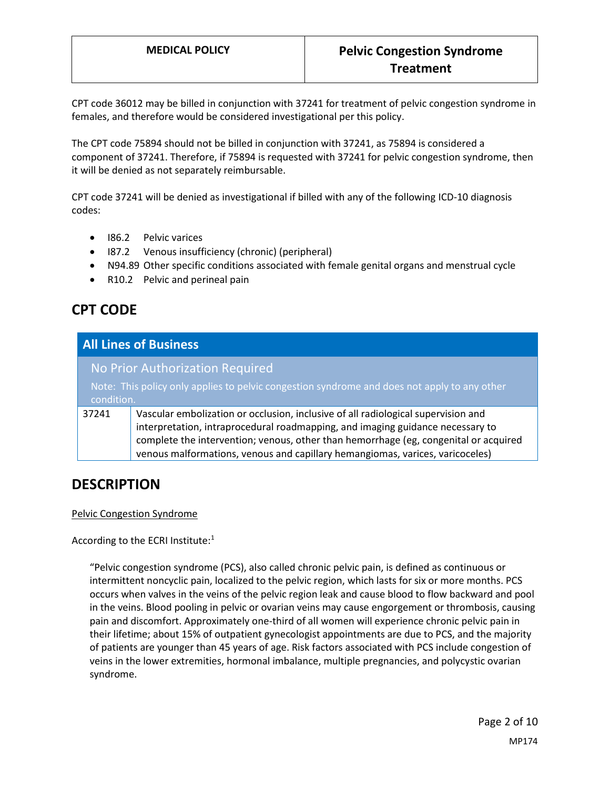CPT code 36012 may be billed in conjunction with 37241 for treatment of pelvic congestion syndrome in females, and therefore would be considered investigational per this policy.

The CPT code 75894 should not be billed in conjunction with 37241, as 75894 is considered a component of 37241. Therefore, if 75894 is requested with 37241 for pelvic congestion syndrome, then it will be denied as not separately reimbursable.

CPT code 37241 will be denied as investigational if billed with any of the following ICD-10 diagnosis codes:

- I86.2 Pelvic varices
- I87.2 Venous insufficiency (chronic) (peripheral)
- N94.89 Other specific conditions associated with female genital organs and menstrual cycle
- R10.2 Pelvic and perineal pain

# **CPT CODE**

| <b>All Lines of Business</b> |                                                                                                                                                                                                                                                                                                                                              |
|------------------------------|----------------------------------------------------------------------------------------------------------------------------------------------------------------------------------------------------------------------------------------------------------------------------------------------------------------------------------------------|
| condition.                   | No Prior Authorization Required<br>Note: This policy only applies to pelvic congestion syndrome and does not apply to any other                                                                                                                                                                                                              |
| 37241                        | Vascular embolization or occlusion, inclusive of all radiological supervision and<br>interpretation, intraprocedural roadmapping, and imaging guidance necessary to<br>complete the intervention; venous, other than hemorrhage (eg, congenital or acquired<br>venous malformations, venous and capillary hemangiomas, varices, varicoceles) |

## **DESCRIPTION**

#### Pelvic Congestion Syndrome

According to the ECRI Institute:<sup>1</sup>

"Pelvic congestion syndrome (PCS), also called chronic pelvic pain, is defined as continuous or intermittent noncyclic pain, localized to the pelvic region, which lasts for six or more months. PCS occurs when valves in the veins of the pelvic region leak and cause blood to flow backward and pool in the veins. Blood pooling in pelvic or ovarian veins may cause engorgement or thrombosis, causing pain and discomfort. Approximately one-third of all women will experience chronic pelvic pain in their lifetime; about 15% of outpatient gynecologist appointments are due to PCS, and the majority of patients are younger than 45 years of age. Risk factors associated with PCS include congestion of veins in the lower extremities, hormonal imbalance, multiple pregnancies, and polycystic ovarian syndrome.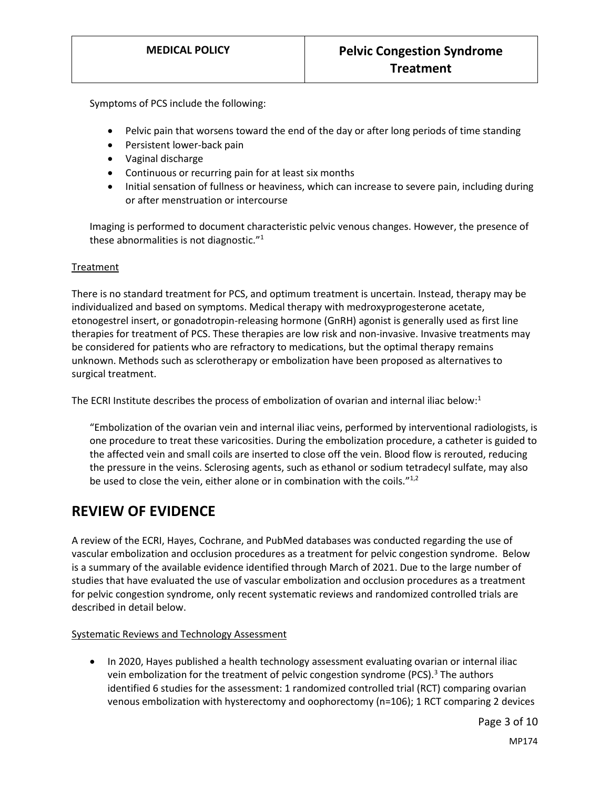Symptoms of PCS include the following:

- Pelvic pain that worsens toward the end of the day or after long periods of time standing
- Persistent lower-back pain
- Vaginal discharge
- Continuous or recurring pain for at least six months
- Initial sensation of fullness or heaviness, which can increase to severe pain, including during or after menstruation or intercourse

Imaging is performed to document characteristic pelvic venous changes. However, the presence of these abnormalities is not diagnostic."<sup>1</sup>

#### **Treatment**

There is no standard treatment for PCS, and optimum treatment is uncertain. Instead, therapy may be individualized and based on symptoms. Medical therapy with medroxyprogesterone acetate, etonogestrel insert, or gonadotropin-releasing hormone (GnRH) agonist is generally used as first line therapies for treatment of PCS. These therapies are low risk and non-invasive. Invasive treatments may be considered for patients who are refractory to medications, but the optimal therapy remains unknown. Methods such as sclerotherapy or embolization have been proposed as alternatives to surgical treatment.

The ECRI Institute describes the process of embolization of ovarian and internal iliac below:<sup>1</sup>

"Embolization of the ovarian vein and internal iliac veins, performed by interventional radiologists, is one procedure to treat these varicosities. During the embolization procedure, a catheter is guided to the affected vein and small coils are inserted to close off the vein. Blood flow is rerouted, reducing the pressure in the veins. Sclerosing agents, such as ethanol or sodium tetradecyl sulfate, may also be used to close the vein, either alone or in combination with the coils."<sup>1,2</sup>

### **REVIEW OF EVIDENCE**

A review of the ECRI, Hayes, Cochrane, and PubMed databases was conducted regarding the use of vascular embolization and occlusion procedures as a treatment for pelvic congestion syndrome. Below is a summary of the available evidence identified through March of 2021. Due to the large number of studies that have evaluated the use of vascular embolization and occlusion procedures as a treatment for pelvic congestion syndrome, only recent systematic reviews and randomized controlled trials are described in detail below.

Systematic Reviews and Technology Assessment

• In 2020, Hayes published a health technology assessment evaluating ovarian or internal iliac vein embolization for the treatment of pelvic congestion syndrome (PCS).<sup>3</sup> The authors identified 6 studies for the assessment: 1 randomized controlled trial (RCT) comparing ovarian venous embolization with hysterectomy and oophorectomy (n=106); 1 RCT comparing 2 devices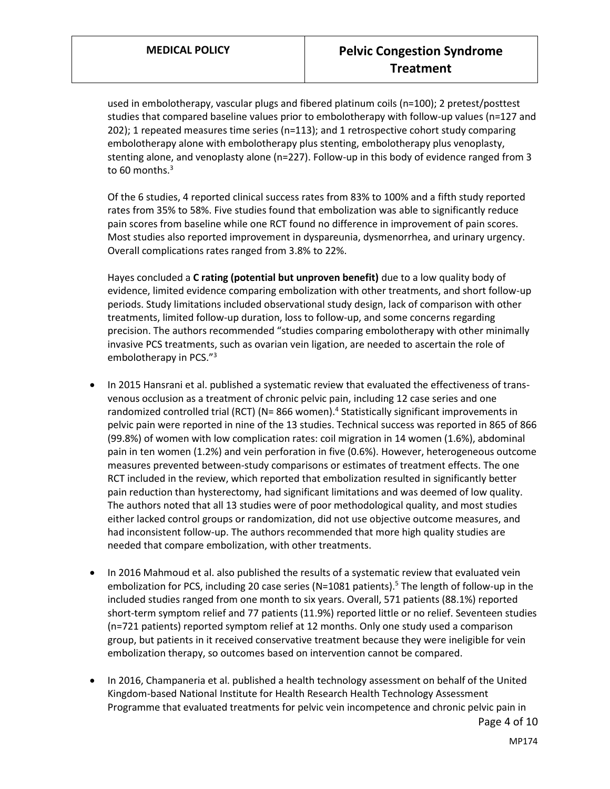used in embolotherapy, vascular plugs and fibered platinum coils (n=100); 2 pretest/posttest studies that compared baseline values prior to embolotherapy with follow-up values (n=127 and 202); 1 repeated measures time series (n=113); and 1 retrospective cohort study comparing embolotherapy alone with embolotherapy plus stenting, embolotherapy plus venoplasty, stenting alone, and venoplasty alone (n=227). Follow-up in this body of evidence ranged from 3 to 60 months. $3$ 

Of the 6 studies, 4 reported clinical success rates from 83% to 100% and a fifth study reported rates from 35% to 58%. Five studies found that embolization was able to significantly reduce pain scores from baseline while one RCT found no difference in improvement of pain scores. Most studies also reported improvement in dyspareunia, dysmenorrhea, and urinary urgency. Overall complications rates ranged from 3.8% to 22%.

Hayes concluded a **C rating (potential but unproven benefit)** due to a low quality body of evidence, limited evidence comparing embolization with other treatments, and short follow-up periods. Study limitations included observational study design, lack of comparison with other treatments, limited follow-up duration, loss to follow-up, and some concerns regarding precision. The authors recommended "studies comparing embolotherapy with other minimally invasive PCS treatments, such as ovarian vein ligation, are needed to ascertain the role of embolotherapy in PCS."<sup>3</sup>

- In 2015 Hansrani et al. published a systematic review that evaluated the effectiveness of transvenous occlusion as a treatment of chronic pelvic pain, including 12 case series and one randomized controlled trial (RCT) (N= 866 women).<sup>4</sup> Statistically significant improvements in pelvic pain were reported in nine of the 13 studies. Technical success was reported in 865 of 866 (99.8%) of women with low complication rates: coil migration in 14 women (1.6%), abdominal pain in ten women (1.2%) and vein perforation in five (0.6%). However, heterogeneous outcome measures prevented between-study comparisons or estimates of treatment effects. The one RCT included in the review, which reported that embolization resulted in significantly better pain reduction than hysterectomy, had significant limitations and was deemed of low quality. The authors noted that all 13 studies were of poor methodological quality, and most studies either lacked control groups or randomization, did not use objective outcome measures, and had inconsistent follow-up. The authors recommended that more high quality studies are needed that compare embolization, with other treatments.
- In 2016 Mahmoud et al. also published the results of a systematic review that evaluated vein embolization for PCS, including 20 case series (N=1081 patients).<sup>5</sup> The length of follow-up in the included studies ranged from one month to six years. Overall, 571 patients (88.1%) reported short-term symptom relief and 77 patients (11.9%) reported little or no relief. Seventeen studies (n=721 patients) reported symptom relief at 12 months. Only one study used a comparison group, but patients in it received conservative treatment because they were ineligible for vein embolization therapy, so outcomes based on intervention cannot be compared.
- In 2016, Champaneria et al. published a health technology assessment on behalf of the United Kingdom-based National Institute for Health Research Health Technology Assessment Programme that evaluated treatments for pelvic vein incompetence and chronic pelvic pain in

Page 4 of 10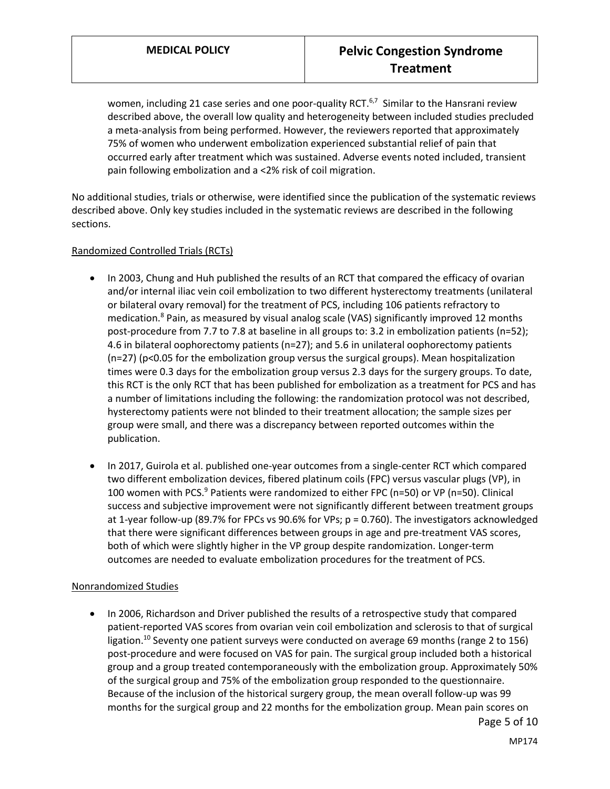women, including 21 case series and one poor-quality RCT.<sup>6,7</sup> Similar to the Hansrani review described above, the overall low quality and heterogeneity between included studies precluded a meta-analysis from being performed. However, the reviewers reported that approximately 75% of women who underwent embolization experienced substantial relief of pain that occurred early after treatment which was sustained. Adverse events noted included, transient pain following embolization and a <2% risk of coil migration.

No additional studies, trials or otherwise, were identified since the publication of the systematic reviews described above. Only key studies included in the systematic reviews are described in the following sections.

#### Randomized Controlled Trials (RCTs)

- In 2003, Chung and Huh published the results of an RCT that compared the efficacy of ovarian and/or internal iliac vein coil embolization to two different hysterectomy treatments (unilateral or bilateral ovary removal) for the treatment of PCS, including 106 patients refractory to medication.<sup>8</sup> Pain, as measured by visual analog scale (VAS) significantly improved 12 months post-procedure from 7.7 to 7.8 at baseline in all groups to: 3.2 in embolization patients (n=52); 4.6 in bilateral oophorectomy patients (n=27); and 5.6 in unilateral oophorectomy patients (n=27) (p<0.05 for the embolization group versus the surgical groups). Mean hospitalization times were 0.3 days for the embolization group versus 2.3 days for the surgery groups. To date, this RCT is the only RCT that has been published for embolization as a treatment for PCS and has a number of limitations including the following: the randomization protocol was not described, hysterectomy patients were not blinded to their treatment allocation; the sample sizes per group were small, and there was a discrepancy between reported outcomes within the publication.
- In 2017, Guirola et al. published one-year outcomes from a single-center RCT which compared two different embolization devices, fibered platinum coils (FPC) versus vascular plugs (VP), in 100 women with PCS.<sup>9</sup> Patients were randomized to either FPC (n=50) or VP (n=50). Clinical success and subjective improvement were not significantly different between treatment groups at 1-year follow-up (89.7% for FPCs vs 90.6% for VPs; p = 0.760). The investigators acknowledged that there were significant differences between groups in age and pre-treatment VAS scores, both of which were slightly higher in the VP group despite randomization. Longer-term outcomes are needed to evaluate embolization procedures for the treatment of PCS.

#### Nonrandomized Studies

 In 2006, Richardson and Driver published the results of a retrospective study that compared patient-reported VAS scores from ovarian vein coil embolization and sclerosis to that of surgical ligation.<sup>10</sup> Seventy one patient surveys were conducted on average 69 months (range 2 to 156) post-procedure and were focused on VAS for pain. The surgical group included both a historical group and a group treated contemporaneously with the embolization group. Approximately 50% of the surgical group and 75% of the embolization group responded to the questionnaire. Because of the inclusion of the historical surgery group, the mean overall follow-up was 99 months for the surgical group and 22 months for the embolization group. Mean pain scores on

Page 5 of 10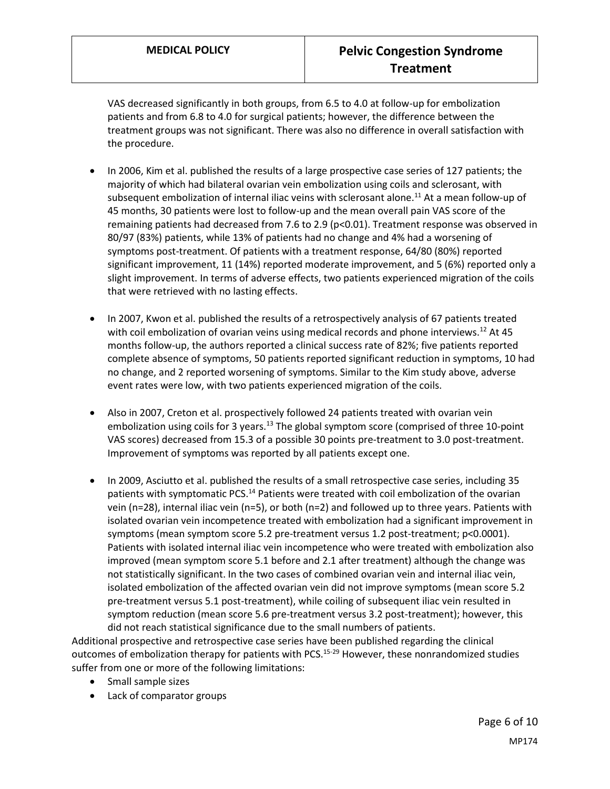VAS decreased significantly in both groups, from 6.5 to 4.0 at follow-up for embolization patients and from 6.8 to 4.0 for surgical patients; however, the difference between the treatment groups was not significant. There was also no difference in overall satisfaction with the procedure.

- In 2006, Kim et al. published the results of a large prospective case series of 127 patients; the majority of which had bilateral ovarian vein embolization using coils and sclerosant, with subsequent embolization of internal iliac veins with sclerosant alone.<sup>11</sup> At a mean follow-up of 45 months, 30 patients were lost to follow-up and the mean overall pain VAS score of the remaining patients had decreased from 7.6 to 2.9 (p<0.01). Treatment response was observed in 80/97 (83%) patients, while 13% of patients had no change and 4% had a worsening of symptoms post-treatment. Of patients with a treatment response, 64/80 (80%) reported significant improvement, 11 (14%) reported moderate improvement, and 5 (6%) reported only a slight improvement. In terms of adverse effects, two patients experienced migration of the coils that were retrieved with no lasting effects.
- In 2007, Kwon et al. published the results of a retrospectively analysis of 67 patients treated with coil embolization of ovarian veins using medical records and phone interviews.<sup>12</sup> At 45 months follow-up, the authors reported a clinical success rate of 82%; five patients reported complete absence of symptoms, 50 patients reported significant reduction in symptoms, 10 had no change, and 2 reported worsening of symptoms. Similar to the Kim study above, adverse event rates were low, with two patients experienced migration of the coils.
- Also in 2007, Creton et al. prospectively followed 24 patients treated with ovarian vein embolization using coils for 3 years.<sup>13</sup> The global symptom score (comprised of three 10-point VAS scores) decreased from 15.3 of a possible 30 points pre-treatment to 3.0 post-treatment. Improvement of symptoms was reported by all patients except one.
- In 2009, Asciutto et al. published the results of a small retrospective case series, including 35 patients with symptomatic PCS.<sup>14</sup> Patients were treated with coil embolization of the ovarian vein (n=28), internal iliac vein (n=5), or both (n=2) and followed up to three years. Patients with isolated ovarian vein incompetence treated with embolization had a significant improvement in symptoms (mean symptom score 5.2 pre-treatment versus 1.2 post-treatment; p<0.0001). Patients with isolated internal iliac vein incompetence who were treated with embolization also improved (mean symptom score 5.1 before and 2.1 after treatment) although the change was not statistically significant. In the two cases of combined ovarian vein and internal iliac vein, isolated embolization of the affected ovarian vein did not improve symptoms (mean score 5.2 pre-treatment versus 5.1 post-treatment), while coiling of subsequent iliac vein resulted in symptom reduction (mean score 5.6 pre-treatment versus 3.2 post-treatment); however, this did not reach statistical significance due to the small numbers of patients.

Additional prospective and retrospective case series have been published regarding the clinical outcomes of embolization therapy for patients with PCS.<sup>15-29</sup> However, these nonrandomized studies suffer from one or more of the following limitations:

- Small sample sizes
- Lack of comparator groups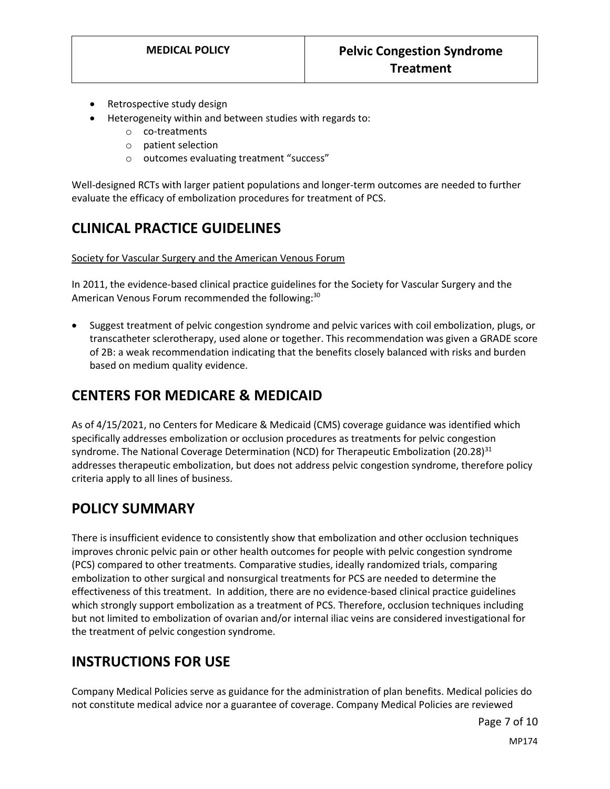- Retrospective study design
- Heterogeneity within and between studies with regards to:
	- o co-treatments
	- o patient selection
	- o outcomes evaluating treatment "success"

Well-designed RCTs with larger patient populations and longer-term outcomes are needed to further evaluate the efficacy of embolization procedures for treatment of PCS.

# **CLINICAL PRACTICE GUIDELINES**

Society for Vascular Surgery and the American Venous Forum

In 2011, the evidence-based clinical practice guidelines for the Society for Vascular Surgery and the American Venous Forum recommended the following:<sup>30</sup>

 Suggest treatment of pelvic congestion syndrome and pelvic varices with coil embolization, plugs, or transcatheter sclerotherapy, used alone or together. This recommendation was given a GRADE score of 2B: a weak recommendation indicating that the benefits closely balanced with risks and burden based on medium quality evidence.

## **CENTERS FOR MEDICARE & MEDICAID**

As of 4/15/2021, no Centers for Medicare & Medicaid (CMS) coverage guidance was identified which specifically addresses embolization or occlusion procedures as treatments for pelvic congestion syndrome. The National Coverage Determination (NCD) for Therapeutic Embolization (20.28)<sup>31</sup> addresses therapeutic embolization, but does not address pelvic congestion syndrome, therefore policy criteria apply to all lines of business.

## <span id="page-6-0"></span>**POLICY SUMMARY**

There is insufficient evidence to consistently show that embolization and other occlusion techniques improves chronic pelvic pain or other health outcomes for people with pelvic congestion syndrome (PCS) compared to other treatments. Comparative studies, ideally randomized trials, comparing embolization to other surgical and nonsurgical treatments for PCS are needed to determine the effectiveness of this treatment. In addition, there are no evidence-based clinical practice guidelines which strongly support embolization as a treatment of PCS. Therefore, occlusion techniques including but not limited to embolization of ovarian and/or internal iliac veins are considered investigational for the treatment of pelvic congestion syndrome.

## **INSTRUCTIONS FOR USE**

Company Medical Policies serve as guidance for the administration of plan benefits. Medical policies do not constitute medical advice nor a guarantee of coverage. Company Medical Policies are reviewed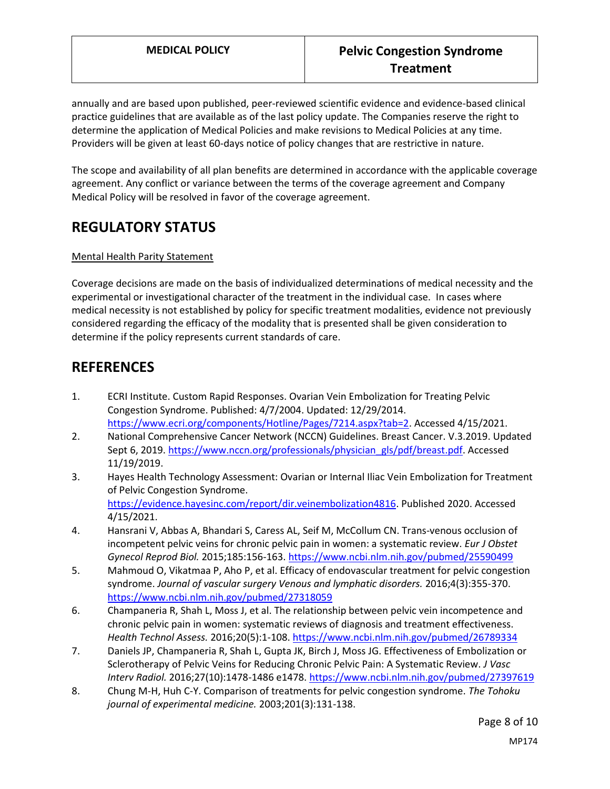annually and are based upon published, peer-reviewed scientific evidence and evidence-based clinical practice guidelines that are available as of the last policy update. The Companies reserve the right to determine the application of Medical Policies and make revisions to Medical Policies at any time. Providers will be given at least 60-days notice of policy changes that are restrictive in nature.

The scope and availability of all plan benefits are determined in accordance with the applicable coverage agreement. Any conflict or variance between the terms of the coverage agreement and Company Medical Policy will be resolved in favor of the coverage agreement.

# **REGULATORY STATUS**

### Mental Health Parity Statement

Coverage decisions are made on the basis of individualized determinations of medical necessity and the experimental or investigational character of the treatment in the individual case. In cases where medical necessity is not established by policy for specific treatment modalities, evidence not previously considered regarding the efficacy of the modality that is presented shall be given consideration to determine if the policy represents current standards of care.

### **REFERENCES**

- 1. ECRI Institute. Custom Rapid Responses. Ovarian Vein Embolization for Treating Pelvic Congestion Syndrome. Published: 4/7/2004. Updated: 12/29/2014. [https://www.ecri.org/components/Hotline/Pages/7214.aspx?tab=2.](https://www.ecri.org/components/Hotline/Pages/7214.aspx?tab=2) Accessed 4/15/2021.
- 2. National Comprehensive Cancer Network (NCCN) Guidelines. Breast Cancer. V.3.2019. Updated Sept 6, 2019. [https://www.nccn.org/professionals/physician\\_gls/pdf/breast.pdf.](https://www.nccn.org/professionals/physician_gls/pdf/breast.pdf) Accessed 11/19/2019.
- 3. Hayes Health Technology Assessment: Ovarian or Internal Iliac Vein Embolization for Treatment of Pelvic Congestion Syndrome. [https://evidence.hayesinc.com/report/dir.veinembolization4816.](https://evidence.hayesinc.com/report/dir.veinembolization4816) Published 2020. Accessed 4/15/2021.
- 4. Hansrani V, Abbas A, Bhandari S, Caress AL, Seif M, McCollum CN. Trans-venous occlusion of incompetent pelvic veins for chronic pelvic pain in women: a systematic review. *Eur J Obstet Gynecol Reprod Biol.* 2015;185:156-163[. https://www.ncbi.nlm.nih.gov/pubmed/25590499](https://www.ncbi.nlm.nih.gov/pubmed/25590499)
- 5. Mahmoud O, Vikatmaa P, Aho P, et al. Efficacy of endovascular treatment for pelvic congestion syndrome. *Journal of vascular surgery Venous and lymphatic disorders.* 2016;4(3):355-370. <https://www.ncbi.nlm.nih.gov/pubmed/27318059>
- 6. Champaneria R, Shah L, Moss J, et al. The relationship between pelvic vein incompetence and chronic pelvic pain in women: systematic reviews of diagnosis and treatment effectiveness. *Health Technol Assess.* 2016;20(5):1-108.<https://www.ncbi.nlm.nih.gov/pubmed/26789334>
- 7. Daniels JP, Champaneria R, Shah L, Gupta JK, Birch J, Moss JG. Effectiveness of Embolization or Sclerotherapy of Pelvic Veins for Reducing Chronic Pelvic Pain: A Systematic Review. *J Vasc Interv Radiol.* 2016;27(10):1478-1486 e1478[. https://www.ncbi.nlm.nih.gov/pubmed/27397619](https://www.ncbi.nlm.nih.gov/pubmed/27397619)
- 8. Chung M-H, Huh C-Y. Comparison of treatments for pelvic congestion syndrome. *The Tohoku journal of experimental medicine.* 2003;201(3):131-138.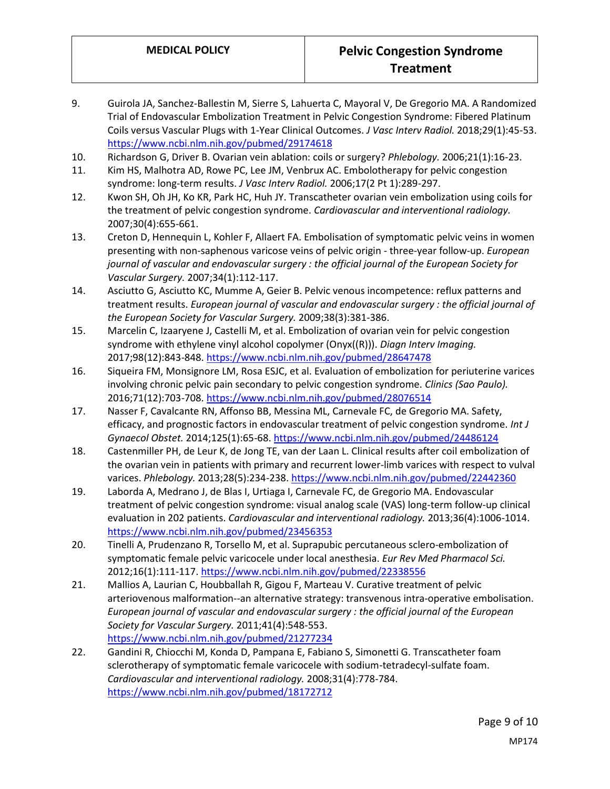- 9. Guirola JA, Sanchez-Ballestin M, Sierre S, Lahuerta C, Mayoral V, De Gregorio MA. A Randomized Trial of Endovascular Embolization Treatment in Pelvic Congestion Syndrome: Fibered Platinum Coils versus Vascular Plugs with 1-Year Clinical Outcomes. *J Vasc Interv Radiol.* 2018;29(1):45-53. <https://www.ncbi.nlm.nih.gov/pubmed/29174618>
- 10. Richardson G, Driver B. Ovarian vein ablation: coils or surgery? *Phlebology.* 2006;21(1):16-23.
- 11. Kim HS, Malhotra AD, Rowe PC, Lee JM, Venbrux AC. Embolotherapy for pelvic congestion syndrome: long-term results. *J Vasc Interv Radiol.* 2006;17(2 Pt 1):289-297.
- 12. Kwon SH, Oh JH, Ko KR, Park HC, Huh JY. Transcatheter ovarian vein embolization using coils for the treatment of pelvic congestion syndrome. *Cardiovascular and interventional radiology.*  2007;30(4):655-661.
- 13. Creton D, Hennequin L, Kohler F, Allaert FA. Embolisation of symptomatic pelvic veins in women presenting with non-saphenous varicose veins of pelvic origin - three-year follow-up. *European journal of vascular and endovascular surgery : the official journal of the European Society for Vascular Surgery.* 2007;34(1):112-117.
- 14. Asciutto G, Asciutto KC, Mumme A, Geier B. Pelvic venous incompetence: reflux patterns and treatment results. *European journal of vascular and endovascular surgery : the official journal of the European Society for Vascular Surgery.* 2009;38(3):381-386.
- 15. Marcelin C, Izaaryene J, Castelli M, et al. Embolization of ovarian vein for pelvic congestion syndrome with ethylene vinyl alcohol copolymer (Onyx((R))). *Diagn Interv Imaging.*  2017;98(12):843-848.<https://www.ncbi.nlm.nih.gov/pubmed/28647478>
- 16. Siqueira FM, Monsignore LM, Rosa ESJC, et al. Evaluation of embolization for periuterine varices involving chronic pelvic pain secondary to pelvic congestion syndrome. *Clinics (Sao Paulo).*  2016;71(12):703-708.<https://www.ncbi.nlm.nih.gov/pubmed/28076514>
- 17. Nasser F, Cavalcante RN, Affonso BB, Messina ML, Carnevale FC, de Gregorio MA. Safety, efficacy, and prognostic factors in endovascular treatment of pelvic congestion syndrome. *Int J Gynaecol Obstet.* 2014;125(1):65-68.<https://www.ncbi.nlm.nih.gov/pubmed/24486124>
- 18. Castenmiller PH, de Leur K, de Jong TE, van der Laan L. Clinical results after coil embolization of the ovarian vein in patients with primary and recurrent lower-limb varices with respect to vulval varices. *Phlebology.* 2013;28(5):234-238[. https://www.ncbi.nlm.nih.gov/pubmed/22442360](https://www.ncbi.nlm.nih.gov/pubmed/22442360)
- 19. Laborda A, Medrano J, de Blas I, Urtiaga I, Carnevale FC, de Gregorio MA. Endovascular treatment of pelvic congestion syndrome: visual analog scale (VAS) long-term follow-up clinical evaluation in 202 patients. *Cardiovascular and interventional radiology.* 2013;36(4):1006-1014. <https://www.ncbi.nlm.nih.gov/pubmed/23456353>
- 20. Tinelli A, Prudenzano R, Torsello M, et al. Suprapubic percutaneous sclero-embolization of symptomatic female pelvic varicocele under local anesthesia. *Eur Rev Med Pharmacol Sci.*  2012;16(1):111-117[. https://www.ncbi.nlm.nih.gov/pubmed/22338556](https://www.ncbi.nlm.nih.gov/pubmed/22338556)
- 21. Mallios A, Laurian C, Houbballah R, Gigou F, Marteau V. Curative treatment of pelvic arteriovenous malformation--an alternative strategy: transvenous intra-operative embolisation. *European journal of vascular and endovascular surgery : the official journal of the European Society for Vascular Surgery.* 2011;41(4):548-553. <https://www.ncbi.nlm.nih.gov/pubmed/21277234>
- 22. Gandini R, Chiocchi M, Konda D, Pampana E, Fabiano S, Simonetti G. Transcatheter foam sclerotherapy of symptomatic female varicocele with sodium-tetradecyl-sulfate foam. *Cardiovascular and interventional radiology.* 2008;31(4):778-784. <https://www.ncbi.nlm.nih.gov/pubmed/18172712>